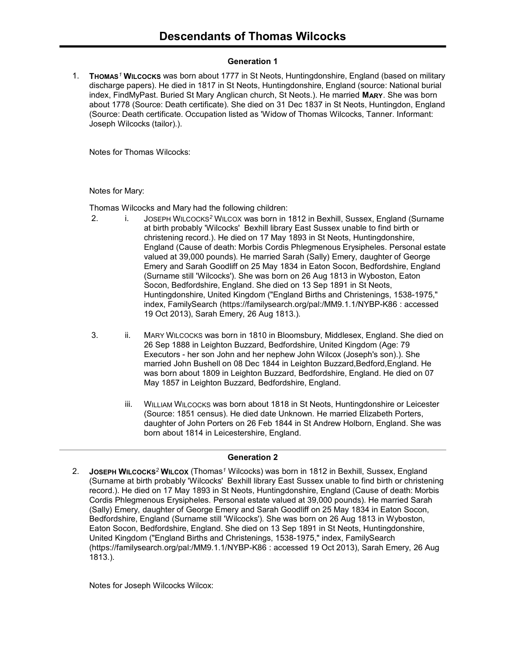## Generation 1

1. THOMAS<sup>1</sup> WILCOCKS was born about 1777 in St Neots, Huntingdonshire, England (based on military discharge papers). He died in 1817 in St Neots, Huntingdonshire, England (source: National burial index, FindMyPast. Buried St Mary Anglican church, St Neots.). He married MARY. She was born about 1778 (Source: Death certificate). She died on 31 Dec 1837 in St Neots, Huntingdon, England (Source: Death certificate. Occupation listed as 'Widow of Thomas Wilcocks, Tanner. Informant: Joseph Wilcocks (tailor).).

Notes for Thomas Wilcocks:

Notes for Mary:

Thomas Wilcocks and Mary had the following children:

- 2. i. JOSEPH WILCOCKS<sup>2</sup> WILCOX was born in 1812 in Bexhill, Sussex, England (Surname at birth probably 'Wilcocks' Bexhill library East Sussex unable to find birth or christening record.). He died on 17 May 1893 in St Neots, Huntingdonshire, England (Cause of death: Morbis Cordis Phlegmenous Erysipheles. Personal estate valued at 39,000 pounds). He married Sarah (Sally) Emery, daughter of George Emery and Sarah Goodliff on 25 May 1834 in Eaton Socon, Bedfordshire, England (Surname still 'Wilcocks'). She was born on 26 Aug 1813 in Wyboston, Eaton Socon, Bedfordshire, England. She died on 13 Sep 1891 in St Neots, Huntingdonshire, United Kingdom ("England Births and Christenings, 1538-1975," index, FamilySearch (https://familysearch.org/pal:/MM9.1.1/NYBP-K86 : accessed 19 Oct 2013), Sarah Emery, 26 Aug 1813.).
- 3. ii. MARY WILCOCKS was born in 1810 in Bloomsbury, Middlesex, England. She died on 26 Sep 1888 in Leighton Buzzard, Bedfordshire, United Kingdom (Age: 79 Executors - her son John and her nephew John Wilcox (Joseph's son).). She married John Bushell on 08 Dec 1844 in Leighton Buzzard,Bedford,England. He was born about 1809 in Leighton Buzzard, Bedfordshire, England. He died on 07 May 1857 in Leighton Buzzard, Bedfordshire, England.
	- iii. WILLIAM WILCOCKS was born about 1818 in St Neots, Huntingdonshire or Leicester (Source: 1851 census). He died date Unknown. He married Elizabeth Porters, daughter of John Porters on 26 Feb 1844 in St Andrew Holborn, England. She was born about 1814 in Leicestershire, England.

#### Generation 2

2. JOSEPH WILCOCKS<sup>2</sup> WILCOX (Thomas<sup>1</sup> Wilcocks) was born in 1812 in Bexhill, Sussex, England (Surname at birth probably 'Wilcocks' Bexhill library East Sussex unable to find birth or christening record.). He died on 17 May 1893 in St Neots, Huntingdonshire, England (Cause of death: Morbis Cordis Phlegmenous Erysipheles. Personal estate valued at 39,000 pounds). He married Sarah (Sally) Emery, daughter of George Emery and Sarah Goodliff on 25 May 1834 in Eaton Socon, Bedfordshire, England (Surname still 'Wilcocks'). She was born on 26 Aug 1813 in Wyboston, Eaton Socon, Bedfordshire, England. She died on 13 Sep 1891 in St Neots, Huntingdonshire, United Kingdom ("England Births and Christenings, 1538-1975," index, FamilySearch (https://familysearch.org/pal:/MM9.1.1/NYBP-K86 : accessed 19 Oct 2013), Sarah Emery, 26 Aug 1813.).

Notes for Joseph Wilcocks Wilcox: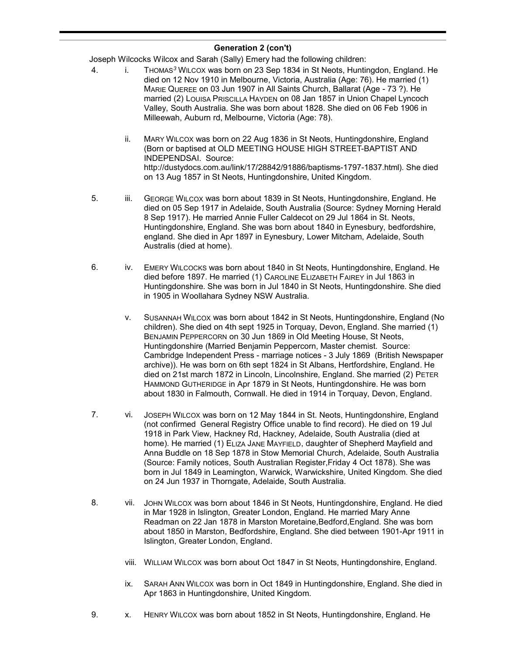Joseph Wilcocks Wilcox and Sarah (Sally) Emery had the following children:

- 4. i. THOMAS<sup>3</sup> WILCOX was born on 23 Sep 1834 in St Neots, Huntingdon, England. He died on 12 Nov 1910 in Melbourne, Victoria, Australia (Age: 76). He married (1) MARIE QUEREE on 03 Jun 1907 in All Saints Church, Ballarat (Age - 73 ?). He married (2) LOUISA PRISCILLA HAYDEN on 08 Jan 1857 in Union Chapel Lyncoch Valley, South Australia. She was born about 1828. She died on 06 Feb 1906 in Milleewah, Auburn rd, Melbourne, Victoria (Age: 78).
	- ii. MARY WILCOX was born on 22 Aug 1836 in St Neots, Huntingdonshire, England (Born or baptised at OLD MEETING HOUSE HIGH STREET-BAPTIST AND INDEPENDSAI. Source: http://dustydocs.com.au/link/17/28842/91886/baptisms-1797-1837.html). She died on 13 Aug 1857 in St Neots, Huntingdonshire, United Kingdom.
- 5. iii. GEORGE WILCOX was born about 1839 in St Neots, Huntingdonshire, England. He died on 05 Sep 1917 in Adelaide, South Australia (Source: Sydney Morning Herald 8 Sep 1917). He married Annie Fuller Caldecot on 29 Jul 1864 in St. Neots, Huntingdonshire, England. She was born about 1840 in Eynesbury, bedfordshire, england. She died in Apr 1897 in Eynesbury, Lower Mitcham, Adelaide, South Australis (died at home).
- 6. iv. EMERY WILCOCKS was born about 1840 in St Neots, Huntingdonshire, England. He died before 1897. He married (1) CAROLINE ELIZABETH FAIREY in Jul 1863 in Huntingdonshire. She was born in Jul 1840 in St Neots, Huntingdonshire. She died in 1905 in Woollahara Sydney NSW Australia.
	- v. SUSANNAH WILCOX was born about 1842 in St Neots, Huntingdonshire, England (No children). She died on 4th sept 1925 in Torquay, Devon, England. She married (1) BENJAMIN PEPPERCORN on 30 Jun 1869 in Old Meeting House, St Neots, Huntingdonshire (Married Benjamin Peppercorn, Master chemist. Source: Cambridge Independent Press - marriage notices - 3 July 1869 (British Newspaper archive)). He was born on 6th sept 1824 in St Albans, Hertfordshire, England. He died on 21st march 1872 in Lincoln, Lincolnshire, England. She married (2) PETER HAMMOND GUTHERIDGE in Apr 1879 in St Neots, Huntingdonshire. He was born about 1830 in Falmouth, Cornwall. He died in 1914 in Torquay, Devon, England.
- 7. vi. JOSEPH WILCOX was born on 12 May 1844 in St. Neots, Huntingdonshire, England (not confirmed General Registry Office unable to find record). He died on 19 Jul 1918 in Park View, Hackney Rd, Hackney, Adelaide, South Australia (died at home). He married (1) ELIZA JANE MAYFIELD, daughter of Shepherd Mayfield and Anna Buddle on 18 Sep 1878 in Stow Memorial Church, Adelaide, South Australia (Source: Family notices, South Australian Register,Friday 4 Oct 1878). She was born in Jul 1849 in Leamington, Warwick, Warwickshire, United Kingdom. She died on 24 Jun 1937 in Thorngate, Adelaide, South Australia.
- 8. vii. JOHN WILCOX was born about 1846 in St Neots, Huntingdonshire, England. He died in Mar 1928 in Islington, Greater London, England. He married Mary Anne Readman on 22 Jan 1878 in Marston Moretaine,Bedford,England. She was born about 1850 in Marston, Bedfordshire, England. She died between 1901-Apr 1911 in Islington, Greater London, England.
	- viii. WILLIAM WILCOX was born about Oct 1847 in St Neots, Huntingdonshire, England.
	- ix. SARAH ANN WILCOX was born in Oct 1849 in Huntingdonshire, England. She died in Apr 1863 in Huntingdonshire, United Kingdom.
- 9. x. HENRY WILCOX was born about 1852 in St Neots, Huntingdonshire, England. He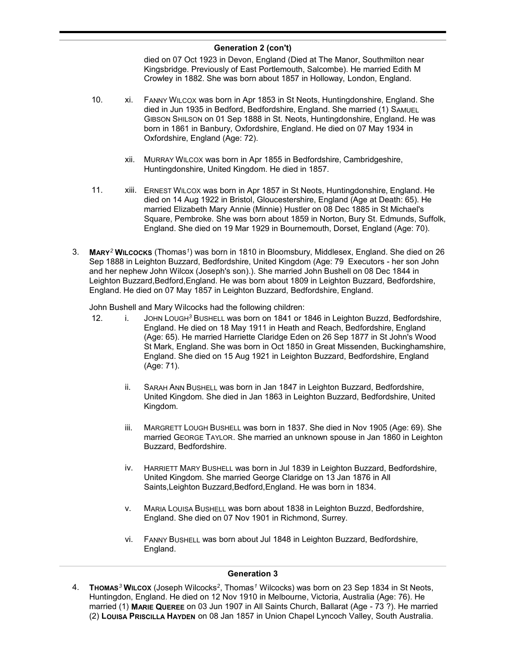died on 07 Oct 1923 in Devon, England (Died at The Manor, Southmilton near Kingsbridge. Previously of East Portlemouth, Salcombe). He married Edith M Crowley in 1882. She was born about 1857 in Holloway, London, England.

- 10. xi. FANNY WILCOX was born in Apr 1853 in St Neots, Huntingdonshire, England. She died in Jun 1935 in Bedford, Bedfordshire, England. She married (1) SAMUEL GIBSON SHILSON on 01 Sep 1888 in St. Neots, Huntingdonshire, England. He was born in 1861 in Banbury, Oxfordshire, England. He died on 07 May 1934 in Oxfordshire, England (Age: 72).
	- xii. MURRAY WILCOX was born in Apr 1855 in Bedfordshire, Cambridgeshire, Huntingdonshire, United Kingdom. He died in 1857.
- 11. xiii. ERNEST WILCOX was born in Apr 1857 in St Neots, Huntingdonshire, England. He died on 14 Aug 1922 in Bristol, Gloucestershire, England (Age at Death: 65). He married Elizabeth Mary Annie (Minnie) Hustler on 08 Dec 1885 in St Michael's Square, Pembroke. She was born about 1859 in Norton, Bury St. Edmunds, Suffolk, England. She died on 19 Mar 1929 in Bournemouth, Dorset, England (Age: 70).
- 3. MARY<sup>2</sup> WILCOCKS (Thomas<sup>1</sup>) was born in 1810 in Bloomsbury, Middlesex, England. She died on 26 Sep 1888 in Leighton Buzzard, Bedfordshire, United Kingdom (Age: 79 Executors - her son John and her nephew John Wilcox (Joseph's son).). She married John Bushell on 08 Dec 1844 in Leighton Buzzard,Bedford,England. He was born about 1809 in Leighton Buzzard, Bedfordshire, England. He died on 07 May 1857 in Leighton Buzzard, Bedfordshire, England.

John Bushell and Mary Wilcocks had the following children:

- 12. i. JOHN LOUGH<sup>3</sup> BUSHELL was born on 1841 or 1846 in Leighton Buzzd, Bedfordshire, England. He died on 18 May 1911 in Heath and Reach, Bedfordshire, England (Age: 65). He married Harriette Claridge Eden on 26 Sep 1877 in St John's Wood St Mark, England. She was born in Oct 1850 in Great Missenden, Buckinghamshire, England. She died on 15 Aug 1921 in Leighton Buzzard, Bedfordshire, England (Age: 71).
	- ii. SARAH ANN BUSHELL was born in Jan 1847 in Leighton Buzzard, Bedfordshire, United Kingdom. She died in Jan 1863 in Leighton Buzzard, Bedfordshire, United Kingdom.
	- iii. MARGRETT LOUGH BUSHELL was born in 1837. She died in Nov 1905 (Age: 69). She married GEORGE TAYLOR. She married an unknown spouse in Jan 1860 in Leighton Buzzard, Bedfordshire.
	- iv. HARRIETT MARY BUSHELL was born in Jul 1839 in Leighton Buzzard, Bedfordshire, United Kingdom. She married George Claridge on 13 Jan 1876 in All Saints,Leighton Buzzard,Bedford,England. He was born in 1834.
	- v. MARIA LOUISA BUSHELL was born about 1838 in Leighton Buzzd, Bedfordshire, England. She died on 07 Nov 1901 in Richmond, Surrey.
	- vi. FANNY BUSHELL was born about Jul 1848 in Leighton Buzzard, Bedfordshire, England.

#### Generation 3

4. THOMAS<sup>3</sup> WILCOX (Joseph Wilcocks<sup>2</sup>, Thomas<sup>1</sup> Wilcocks) was born on 23 Sep 1834 in St Neots, Huntingdon, England. He died on 12 Nov 1910 in Melbourne, Victoria, Australia (Age: 76). He married (1) MARIE QUEREE on 03 Jun 1907 in All Saints Church, Ballarat (Age - 73 ?). He married (2) LOUISA PRISCILLA HAYDEN on 08 Jan 1857 in Union Chapel Lyncoch Valley, South Australia.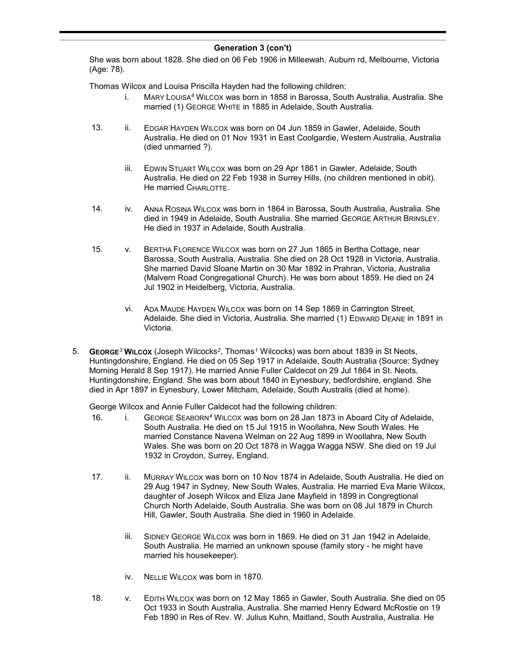She was born about 1828. She died on 06 Feb 1906 in Milleewah, Auburn rd, Melbourne, Victoria (Age: 78).

Thomas Wilcox and Louisa Priscilla Hayden had the following children:

- i. MARY LOUISA<sup>4</sup> WILCOX was born in 1858 in Barossa, South Australia, Australia. She married (1) GEORGE WHITE in 1885 in Adelaide, South Australia.
- 13. ii. EDGAR HAYDEN WILCOX was born on 04 Jun 1859 in Gawler, Adelaide, South Australia. He died on 01 Nov 1931 in East Coolgardie, Western Australia, Australia (died unmarried ?).
	- iii. EDWIN STUART WILCOX was born on 29 Apr 1861 in Gawler, Adelaide, South Australia. He died on 22 Feb 1938 in Surrey Hills, (no children mentioned in obit). He married CHARLOTTE.
- 14. iv. ANNA ROSINA WILCOX was born in 1864 in Barossa, South Australia, Australia. She died in 1949 in Adelaide, South Australia. She married GEORGE ARTHUR BRINSLEY. He died in 1937 in Adelaide, South Australia.
- 15. v. BERTHA FLORENCE WILCOX was born on 27 Jun 1865 in Bertha Cottage, near Barossa, South Australia, Australia. She died on 28 Oct 1928 in Victoria, Australia. She married David Sloane Martin on 30 Mar 1892 in Prahran, Victoria, Australia (Malvern Road Congregational Church). He was born about 1859. He died on 24 Jul 1902 in Heidelberg, Victoria, Australia.
	- vi. ADA MAUDE HAYDEN WILCOX was born on 14 Sep 1869 in Carrington Street, Adelaide. She died in Victoria, Australia. She married (1) EDWARD DEANE in 1891 in Victoria.
- 5. GEORGE<sup>3</sup> WILCOX (Joseph Wilcocks<sup>2</sup>, Thomas<sup>1</sup> Wilcocks) was born about 1839 in St Neots, Huntingdonshire, England. He died on 05 Sep 1917 in Adelaide, South Australia (Source: Sydney Morning Herald 8 Sep 1917). He married Annie Fuller Caldecot on 29 Jul 1864 in St. Neots, Huntingdonshire, England. She was born about 1840 in Eynesbury, bedfordshire, england. She died in Apr 1897 in Eynesbury, Lower Mitcham, Adelaide, South Australis (died at home).

George Wilcox and Annie Fuller Caldecot had the following children:

- 16. i. GEORGE SEABORN<sup>4</sup> WILCOX was born on 28 Jan 1873 in Aboard City of Adelaide, South Australia. He died on 15 Jul 1915 in Woollahra, New South Wales. He married Constance Navena Welman on 22 Aug 1899 in Woollahra, New South Wales. She was born on 20 Oct 1878 in Wagga Wagga NSW. She died on 19 Jul 1932 in Croydon, Surrey, England.
- 17. ii. MURRAY WILCOX was born on 10 Nov 1874 in Adelaide, South Australia. He died on 29 Aug 1947 in Sydney, New South Wales, Australia. He married Eva Marie Wilcox, daughter of Joseph Wilcox and Eliza Jane Mayfield in 1899 in Congregtional Church North Adelaide, South Australia. She was born on 08 Jul 1879 in Church Hill, Gawler, South Australia. She died in 1960 in Adelaide.
	- iii. SIDNEY GEORGE WILCOX was born in 1869. He died on 31 Jan 1942 in Adelaide, South Australia. He married an unknown spouse (family story - he might have married his housekeeper).
	- iv. NELLIE WILCOX was born in 1870.
- 18. v. EDITH WILCOX was born on 12 May 1865 in Gawler, South Australia. She died on 05 Oct 1933 in South Australia, Australia. She married Henry Edward McRostie on 19 Feb 1890 in Res of Rev. W. Julius Kuhn, Maitland, South Australia, Australia. He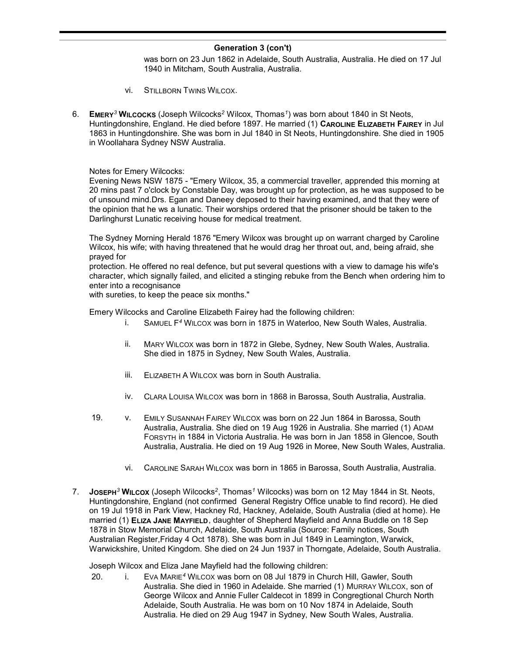was born on 23 Jun 1862 in Adelaide, South Australia, Australia. He died on 17 Jul 1940 in Mitcham, South Australia, Australia.

- vi. STILLBORN TWINS WILCOX.
- 6. EMERY<sup>3</sup> WILCOCKS (Joseph Wilcocks<sup>2</sup> Wilcox, Thomas<sup>1</sup>) was born about 1840 in St Neots, Huntingdonshire, England. He died before 1897. He married (1) CAROLINE ELIZABETH FAIREY in Jul 1863 in Huntingdonshire. She was born in Jul 1840 in St Neots, Huntingdonshire. She died in 1905 in Woollahara Sydney NSW Australia.

Notes for Emery Wilcocks:

Evening News NSW 1875 - "Emery Wilcox, 35, a commercial traveller, apprended this morning at 20 mins past 7 o'clock by Constable Day, was brought up for protection, as he was supposed to be of unsound mind.Drs. Egan and Daneey deposed to their having examined, and that they were of the opinion that he ws a lunatic. Their worships ordered that the prisoner should be taken to the Darlinghurst Lunatic receiving house for medical treatment.

The Sydney Morning Herald 1876 "Emery Wilcox was brought up on warrant charged by Caroline Wilcox, his wife; with having threatened that he would drag her throat out, and, being afraid, she prayed for

protection. He offered no real defence, but put several questions with a view to damage his wife's character, which signally failed, and elicited a stinging rebuke from the Bench when ordering him to enter into a recognisance

with sureties, to keep the peace six months."

Emery Wilcocks and Caroline Elizabeth Fairey had the following children:

- i. SAMUEL F<sup>4</sup> WILCOX was born in 1875 in Waterloo, New South Wales, Australia.
- ii. MARY WILCOX was born in 1872 in Glebe, Sydney, New South Wales, Australia. She died in 1875 in Sydney, New South Wales, Australia.
- iii. ELIZABETH A WILCOX was born in South Australia.
- iv. CLARA LOUISA WILCOX was born in 1868 in Barossa, South Australia, Australia.
- 19. v. EMILY SUSANNAH FAIREY WILCOX was born on 22 Jun 1864 in Barossa, South Australia, Australia. She died on 19 Aug 1926 in Australia. She married (1) ADAM FORSYTH in 1884 in Victoria Australia. He was born in Jan 1858 in Glencoe, South Australia, Australia. He died on 19 Aug 1926 in Moree, New South Wales, Australia.
	- vi. CAROLINE SARAH WILCOX was born in 1865 in Barossa, South Australia, Australia.
- 7. JosepH<sup>3</sup> WILCOX (Joseph Wilcocks<sup>2</sup>, Thomas<sup>1</sup> Wilcocks) was born on 12 May 1844 in St. Neots, Huntingdonshire, England (not confirmed General Registry Office unable to find record). He died on 19 Jul 1918 in Park View, Hackney Rd, Hackney, Adelaide, South Australia (died at home). He married (1) ELIZA JANE MAYFIELD, daughter of Shepherd Mayfield and Anna Buddle on 18 Sep 1878 in Stow Memorial Church, Adelaide, South Australia (Source: Family notices, South Australian Register,Friday 4 Oct 1878). She was born in Jul 1849 in Leamington, Warwick, Warwickshire, United Kingdom. She died on 24 Jun 1937 in Thorngate, Adelaide, South Australia.

Joseph Wilcox and Eliza Jane Mayfield had the following children:

20. i. EVA MARIE<sup>4</sup> WILCOX was born on 08 Jul 1879 in Church Hill, Gawler, South Australia. She died in 1960 in Adelaide. She married (1) MURRAY WILCOX, son of George Wilcox and Annie Fuller Caldecot in 1899 in Congregtional Church North Adelaide, South Australia. He was born on 10 Nov 1874 in Adelaide, South Australia. He died on 29 Aug 1947 in Sydney, New South Wales, Australia.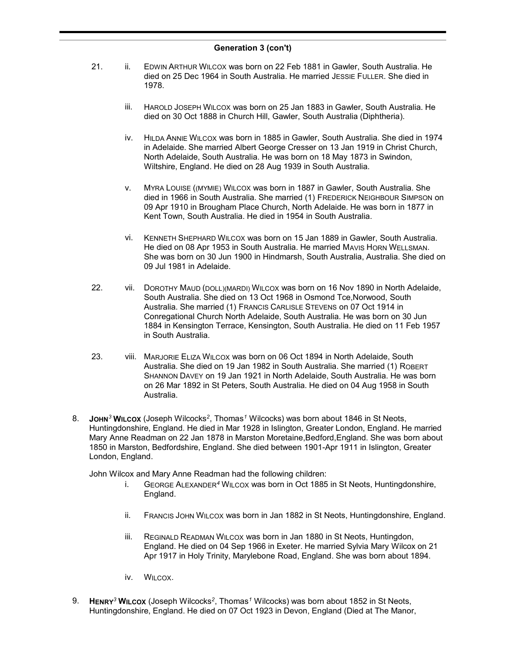- 21. ii. EDWIN ARTHUR WILCOX was born on 22 Feb 1881 in Gawler, South Australia. He died on 25 Dec 1964 in South Australia. He married JESSIE FULLER. She died in 1978.
	- iii. HAROLD JOSEPH WILCOX was born on 25 Jan 1883 in Gawler, South Australia. He died on 30 Oct 1888 in Church Hill, Gawler, South Australia (Diphtheria).
	- iv. HILDA ANNIE WILCOX was born in 1885 in Gawler, South Australia. She died in 1974 in Adelaide. She married Albert George Cresser on 13 Jan 1919 in Christ Church, North Adelaide, South Australia. He was born on 18 May 1873 in Swindon, Wiltshire, England. He died on 28 Aug 1939 in South Australia.
	- v. MYRA LOUISE ((MYMIE) WILCOX was born in 1887 in Gawler, South Australia. She died in 1966 in South Australia. She married (1) FREDERICK NEIGHBOUR SIMPSON on 09 Apr 1910 in Brougham Place Church, North Adelaide. He was born in 1877 in Kent Town, South Australia. He died in 1954 in South Australia.
	- vi. KENNETH SHEPHARD WILCOX was born on 15 Jan 1889 in Gawler, South Australia. He died on 08 Apr 1953 in South Australia. He married MAVIS HORN WELLSMAN. She was born on 30 Jun 1900 in Hindmarsh, South Australia, Australia. She died on 09 Jul 1981 in Adelaide.
- 22. vii. DOROTHY MAUD (DOLL)(MARDI) WILCOX was born on 16 Nov 1890 in North Adelaide, South Australia. She died on 13 Oct 1968 in Osmond Tce,Norwood, South Australia. She married (1) FRANCIS CARLISLE STEVENS on 07 Oct 1914 in Conregational Church North Adelaide, South Australia. He was born on 30 Jun 1884 in Kensington Terrace, Kensington, South Australia. He died on 11 Feb 1957 in South Australia.
- 23. viii. MARJORIE ELIZA WILCOX was born on 06 Oct 1894 in North Adelaide, South Australia. She died on 19 Jan 1982 in South Australia. She married (1) ROBERT SHANNON DAVEY on 19 Jan 1921 in North Adelaide, South Australia. He was born on 26 Mar 1892 in St Peters, South Australia. He died on 04 Aug 1958 in South Australia.
- 8. John<sup>3</sup> WiLcox (Joseph Wilcocks<sup>2</sup>, Thomas<sup>1</sup> Wilcocks) was born about 1846 in St Neots, Huntingdonshire, England. He died in Mar 1928 in Islington, Greater London, England. He married Mary Anne Readman on 22 Jan 1878 in Marston Moretaine,Bedford,England. She was born about 1850 in Marston, Bedfordshire, England. She died between 1901-Apr 1911 in Islington, Greater London, England.

John Wilcox and Mary Anne Readman had the following children:

- i. GEORGE ALEXANDER<sup>4</sup> WILCOX was born in Oct 1885 in St Neots, Huntingdonshire, England.
- ii. FRANCIS JOHN WILCOX was born in Jan 1882 in St Neots, Huntingdonshire, England.
- iii. REGINALD READMAN WILCOX was born in Jan 1880 in St Neots, Huntingdon, England. He died on 04 Sep 1966 in Exeter. He married Sylvia Mary Wilcox on 21 Apr 1917 in Holy Trinity, Marylebone Road, England. She was born about 1894.
- iv. WILCOX.
- 9. HENRY<sup>3</sup> WILCOX (Joseph Wilcocks<sup>2</sup>, Thomas<sup>1</sup> Wilcocks) was born about 1852 in St Neots, Huntingdonshire, England. He died on 07 Oct 1923 in Devon, England (Died at The Manor,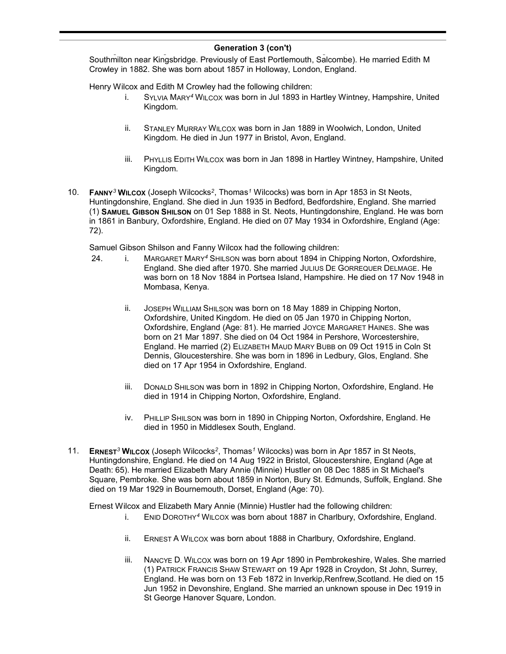Southmilton near Kingsbridge. Previously of East Portlemouth, Salcombe). He married Edith M Crowley in 1882. She was born about 1857 in Holloway, London, England.

Henry Wilcox and Edith M Crowley had the following children:

- i. SYLVIA MARY<sup>4</sup> WILCOX was born in Jul 1893 in Hartley Wintney, Hampshire, United Kingdom.
- ii. STANLEY MURRAY WILCOX was born in Jan 1889 in Woolwich, London, United Kingdom. He died in Jun 1977 in Bristol, Avon, England.
- iii. PHYLLIS EDITH WILCOX was born in Jan 1898 in Hartley Wintney, Hampshire, United Kingdom.
- 10. FANNY<sup>3</sup> WILCOX (Joseph Wilcocks<sup>2</sup>, Thomas<sup>1</sup> Wilcocks) was born in Apr 1853 in St Neots, Huntingdonshire, England. She died in Jun 1935 in Bedford, Bedfordshire, England. She married (1) SAMUEL GIBSON SHILSON on 01 Sep 1888 in St. Neots, Huntingdonshire, England. He was born in 1861 in Banbury, Oxfordshire, England. He died on 07 May 1934 in Oxfordshire, England (Age: 72).

Samuel Gibson Shilson and Fanny Wilcox had the following children:

- 24. i. MARGARET MARY<sup>4</sup> SHILSON was born about 1894 in Chipping Norton, Oxfordshire, England. She died after 1970. She married JULIUS D<sup>E</sup> GORREQUER DELMAGE. He was born on 18 Nov 1884 in Portsea Island, Hampshire. He died on 17 Nov 1948 in Mombasa, Kenya.
	- ii. JOSEPH WILLIAM SHILSON was born on 18 May 1889 in Chipping Norton, Oxfordshire, United Kingdom. He died on 05 Jan 1970 in Chipping Norton, Oxfordshire, England (Age: 81). He married JOYCE MARGARET HAINES. She was born on 21 Mar 1897. She died on 04 Oct 1984 in Pershore, Worcestershire, England. He married (2) ELIZABETH MAUD MARY BUBB on 09 Oct 1915 in Coln St Dennis, Gloucestershire. She was born in 1896 in Ledbury, Glos, England. She died on 17 Apr 1954 in Oxfordshire, England.
	- iii. DONALD SHILSON was born in 1892 in Chipping Norton, Oxfordshire, England. He died in 1914 in Chipping Norton, Oxfordshire, England.
	- iv. PHILLIP SHILSON was born in 1890 in Chipping Norton, Oxfordshire, England. He died in 1950 in Middlesex South, England.
- 11. ERNEST<sup>3</sup> WILCOX (Joseph Wilcocks<sup>2</sup>, Thomas<sup>1</sup> Wilcocks) was born in Apr 1857 in St Neots, Huntingdonshire, England. He died on 14 Aug 1922 in Bristol, Gloucestershire, England (Age at Death: 65). He married Elizabeth Mary Annie (Minnie) Hustler on 08 Dec 1885 in St Michael's Square, Pembroke. She was born about 1859 in Norton, Bury St. Edmunds, Suffolk, England. She died on 19 Mar 1929 in Bournemouth, Dorset, England (Age: 70).

Ernest Wilcox and Elizabeth Mary Annie (Minnie) Hustler had the following children:

- i. ENID DOROTHY<sup>4</sup> WILCOX was born about 1887 in Charlbury, Oxfordshire, England.
- ii. ERNEST A WILCOX was born about 1888 in Charlbury, Oxfordshire, England.
- iii. NANCYE D. WILCOX was born on 19 Apr 1890 in Pembrokeshire, Wales. She married (1) PATRICK FRANCIS SHAW STEWART on 19 Apr 1928 in Croydon, St John, Surrey, England. He was born on 13 Feb 1872 in Inverkip,Renfrew,Scotland. He died on 15 Jun 1952 in Devonshire, England. She married an unknown spouse in Dec 1919 in St George Hanover Square, London.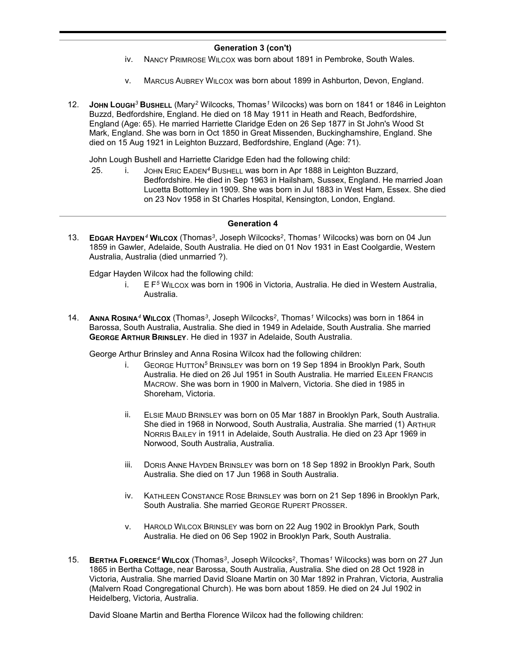- iv. NANCY PRIMROSE WILCOX was born about 1891 in Pembroke, South Wales.
- v. MARCUS AUBREY WILCOX was born about 1899 in Ashburton, Devon, England.
- 12. JOHN LOUGH<sup>3</sup> BUSHELL (Mary<sup>2</sup> Wilcocks, Thomas<sup>1</sup> Wilcocks) was born on 1841 or 1846 in Leighton Buzzd, Bedfordshire, England. He died on 18 May 1911 in Heath and Reach, Bedfordshire, England (Age: 65). He married Harriette Claridge Eden on 26 Sep 1877 in St John's Wood St Mark, England. She was born in Oct 1850 in Great Missenden, Buckinghamshire, England. She died on 15 Aug 1921 in Leighton Buzzard, Bedfordshire, England (Age: 71).

John Lough Bushell and Harriette Claridge Eden had the following child:

25. i. JOHN ERIC EADEN<sup>4</sup> BUSHELL was born in Apr 1888 in Leighton Buzzard, Bedfordshire. He died in Sep 1963 in Hailsham, Sussex, England. He married Joan Lucetta Bottomley in 1909. She was born in Jul 1883 in West Ham, Essex. She died on 23 Nov 1958 in St Charles Hospital, Kensington, London, England.

#### Generation 4

13. EDGAR HAYDEN<sup>4</sup> WILCOX (Thomas<sup>3</sup>, Joseph Wilcocks<sup>2</sup>, Thomas<sup>1</sup> Wilcocks) was born on 04 Jun 1859 in Gawler, Adelaide, South Australia. He died on 01 Nov 1931 in East Coolgardie, Western Australia, Australia (died unmarried ?).

Edgar Hayden Wilcox had the following child:

- i.  $E F<sup>5</sup> WILCOX was born in 1906 in Victoria, Australia, He died in Western Australia,$ Australia.
- 14. Anna Rosina<sup>4</sup> Wilcox (Thomas<sup>3</sup>, Joseph Wilcocks<sup>2</sup>, Thomas<sup>1</sup> Wilcocks) was born in 1864 in Barossa, South Australia, Australia. She died in 1949 in Adelaide, South Australia. She married GEORGE ARTHUR BRINSLEY. He died in 1937 in Adelaide, South Australia.

George Arthur Brinsley and Anna Rosina Wilcox had the following children:

- i. GEORGE HUTTON<sup>5</sup> BRINSLEY was born on 19 Sep 1894 in Brooklyn Park, South Australia. He died on 26 Jul 1951 in South Australia. He married EILEEN FRANCIS MACROW. She was born in 1900 in Malvern, Victoria. She died in 1985 in Shoreham, Victoria.
- ii. ELSIE MAUD BRINSLEY was born on 05 Mar 1887 in Brooklyn Park, South Australia. She died in 1968 in Norwood, South Australia, Australia. She married (1) ARTHUR NORRIS BAILEY in 1911 in Adelaide, South Australia. He died on 23 Apr 1969 in Norwood, South Australia, Australia.
- iii. DORIS ANNE HAYDEN BRINSLEY was born on 18 Sep 1892 in Brooklyn Park, South Australia. She died on 17 Jun 1968 in South Australia.
- iv. KATHLEEN CONSTANCE ROSE BRINSLEY was born on 21 Sep 1896 in Brooklyn Park, South Australia. She married GEORGE RUPERT PROSSER.
- v. HAROLD WILCOX BRINSLEY was born on 22 Aug 1902 in Brooklyn Park, South Australia. He died on 06 Sep 1902 in Brooklyn Park, South Australia.
- 15. BERTHA FLORENCE<sup>4</sup> WILCOX (Thomas<sup>3</sup>, Joseph Wilcocks<sup>2</sup>, Thomas<sup>1</sup> Wilcocks) was born on 27 Jun 1865 in Bertha Cottage, near Barossa, South Australia, Australia. She died on 28 Oct 1928 in Victoria, Australia. She married David Sloane Martin on 30 Mar 1892 in Prahran, Victoria, Australia (Malvern Road Congregational Church). He was born about 1859. He died on 24 Jul 1902 in Heidelberg, Victoria, Australia.

David Sloane Martin and Bertha Florence Wilcox had the following children: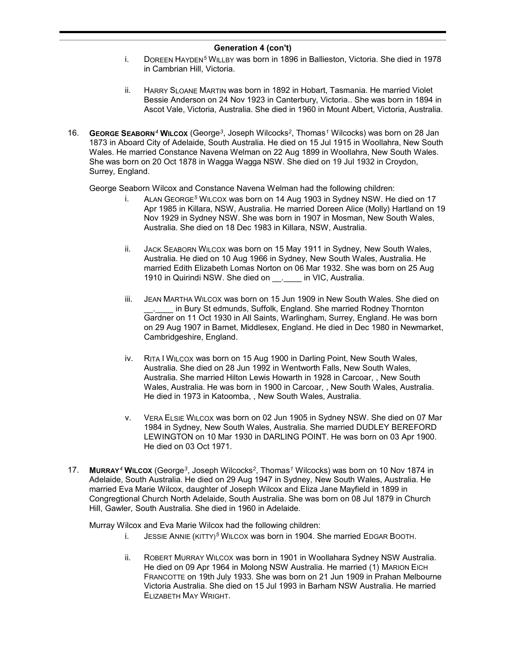- i. DOREEN HAYDEN<sup>5</sup> WILLBY was born in 1896 in Ballieston, Victoria. She died in 1978 in Cambrian Hill, Victoria.
- ii. HARRY SLOANE MARTIN was born in 1892 in Hobart, Tasmania. He married Violet Bessie Anderson on 24 Nov 1923 in Canterbury, Victoria.. She was born in 1894 in Ascot Vale, Victoria, Australia. She died in 1960 in Mount Albert, Victoria, Australia.
- 16. GEORGE SEABORN<sup>4</sup> WILCOX (George<sup>3</sup>, Joseph Wilcocks<sup>2</sup>, Thomas<sup>1</sup> Wilcocks) was born on 28 Jan 1873 in Aboard City of Adelaide, South Australia. He died on 15 Jul 1915 in Woollahra, New South Wales. He married Constance Navena Welman on 22 Aug 1899 in Woollahra, New South Wales. She was born on 20 Oct 1878 in Wagga Wagga NSW. She died on 19 Jul 1932 in Croydon, Surrey, England.

George Seaborn Wilcox and Constance Navena Welman had the following children:

- i. ALAN GEORGE<sup>5</sup> WILCOX was born on 14 Aug 1903 in Sydney NSW. He died on 17 Apr 1985 in Killara, NSW, Australia. He married Doreen Alice (Molly) Hartland on 19 Nov 1929 in Sydney NSW. She was born in 1907 in Mosman, New South Wales, Australia. She died on 18 Dec 1983 in Killara, NSW, Australia.
- ii. JACK SEABORN WILCOX was born on 15 May 1911 in Sydney, New South Wales, Australia. He died on 10 Aug 1966 in Sydney, New South Wales, Australia. He married Edith Elizabeth Lomas Norton on 06 Mar 1932. She was born on 25 Aug 1910 in Quirindi NSW. She died on \_\_\_\_\_\_ in VIC, Australia.
- iii. JEAN MARTHA WILCOX was born on 15 Jun 1909 in New South Wales. She died on in Bury St edmunds, Suffolk, England. She married Rodney Thornton Gardner on 11 Oct 1930 in All Saints, Warlingham, Surrey, England. He was born on 29 Aug 1907 in Barnet, Middlesex, England. He died in Dec 1980 in Newmarket, Cambridgeshire, England.
- iv. RITA I WILCOX was born on 15 Aug 1900 in Darling Point, New South Wales, Australia. She died on 28 Jun 1992 in Wentworth Falls, New South Wales, Australia. She married Hilton Lewis Howarth in 1928 in Carcoar, , New South Wales, Australia. He was born in 1900 in Carcoar, , New South Wales, Australia. He died in 1973 in Katoomba, , New South Wales, Australia.
- v. VERA ELSIE WILCOX was born on 02 Jun 1905 in Sydney NSW. She died on 07 Mar 1984 in Sydney, New South Wales, Australia. She married DUDLEY BEREFORD LEWINGTON on 10 Mar 1930 in DARLING POINT. He was born on 03 Apr 1900. He died on 03 Oct 1971.
- 17. Murray<sup>4</sup> Wilcox (George<sup>3</sup>, Joseph Wilcocks<sup>2</sup>, Thomas<sup>1</sup> Wilcocks) was born on 10 Nov 1874 in Adelaide, South Australia. He died on 29 Aug 1947 in Sydney, New South Wales, Australia. He married Eva Marie Wilcox, daughter of Joseph Wilcox and Eliza Jane Mayfield in 1899 in Congregtional Church North Adelaide, South Australia. She was born on 08 Jul 1879 in Church Hill, Gawler, South Australia. She died in 1960 in Adelaide.

Murray Wilcox and Eva Marie Wilcox had the following children:

- i. JESSIE ANNIE (KITTY)<sup>5</sup> WILCOX was born in 1904. She married EDGAR BOOTH.
- ii. ROBERT MURRAY WILCOX was born in 1901 in Woollahara Sydney NSW Australia. He died on 09 Apr 1964 in Molong NSW Australia. He married (1) MARION EICH FRANCOTTE on 19th July 1933. She was born on 21 Jun 1909 in Prahan Melbourne Victoria Australia. She died on 15 Jul 1993 in Barham NSW Australia. He married ELIZABETH MAY WRIGHT.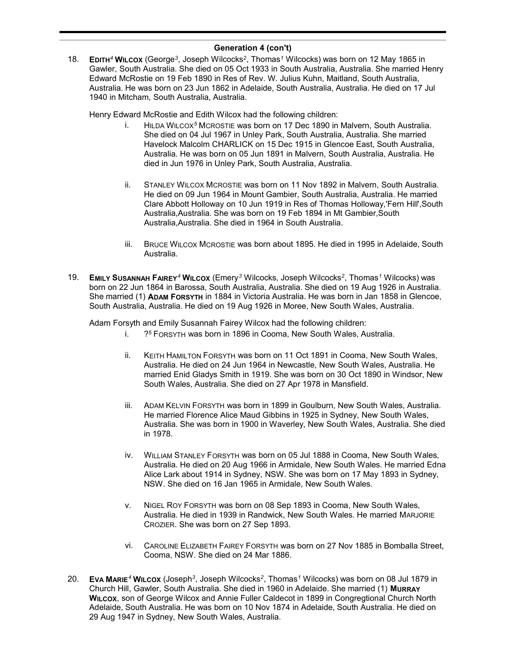18. EDITH<sup>4</sup> WILCOX (George<sup>3</sup>, Joseph Wilcocks<sup>2</sup>, Thomas<sup>1</sup> Wilcocks) was born on 12 May 1865 in Gawler, South Australia. She died on 05 Oct 1933 in South Australia, Australia. She married Henry Edward McRostie on 19 Feb 1890 in Res of Rev. W. Julius Kuhn, Maitland, South Australia, Australia. He was born on 23 Jun 1862 in Adelaide, South Australia, Australia. He died on 17 Jul 1940 in Mitcham, South Australia, Australia.

Henry Edward McRostie and Edith Wilcox had the following children:

- i. HILDA WILCOX<sup>5</sup> MCROSTIE was born on 17 Dec 1890 in Malvern, South Australia. She died on 04 Jul 1967 in Unley Park, South Australia, Australia. She married Havelock Malcolm CHARLICK on 15 Dec 1915 in Glencoe East, South Australia, Australia. He was born on 05 Jun 1891 in Malvern, South Australia, Australia. He died in Jun 1976 in Unley Park, South Australia, Australia.
- ii. STANLEY WILCOX MCROSTIE was born on 11 Nov 1892 in Malvern, South Australia. He died on 09 Jun 1964 in Mount Gambier, South Australia, Australia. He married Clare Abbott Holloway on 10 Jun 1919 in Res of Thomas Holloway,'Fern Hill',South Australia,Australia. She was born on 19 Feb 1894 in Mt Gambier,South Australia,Australia. She died in 1964 in South Australia.
- iii. BRUCE WILCOX MCROSTIE was born about 1895. He died in 1995 in Adelaide, South Australia.
- 19. EMILY SUSANNAH FAIREY<sup>4</sup> WILCOX (Emery<sup>3</sup> Wilcocks, Joseph Wilcocks<sup>2</sup>, Thomas<sup>1</sup> Wilcocks) was born on 22 Jun 1864 in Barossa, South Australia, Australia. She died on 19 Aug 1926 in Australia. She married (1) ADAM FORSYTH in 1884 in Victoria Australia. He was born in Jan 1858 in Glencoe, South Australia, Australia. He died on 19 Aug 1926 in Moree, New South Wales, Australia.

Adam Forsyth and Emily Susannah Fairey Wilcox had the following children:

- i. ?<sup>5</sup> FORSYTH was born in 1896 in Cooma, New South Wales, Australia.
- ii. KEITH HAMILTON FORSYTH was born on 11 Oct 1891 in Cooma, New South Wales, Australia. He died on 24 Jun 1964 in Newcastle, New South Wales, Australia. He married Enid Gladys Smith in 1919. She was born on 30 Oct 1890 in Windsor, New South Wales, Australia. She died on 27 Apr 1978 in Mansfield.
- iii. ADAM KELVIN FORSYTH was born in 1899 in Goulburn, New South Wales, Australia. He married Florence Alice Maud Gibbins in 1925 in Sydney, New South Wales, Australia. She was born in 1900 in Waverley, New South Wales, Australia. She died in 1978.
- iv. WILLIAM STANLEY FORSYTH was born on 05 Jul 1888 in Cooma, New South Wales, Australia. He died on 20 Aug 1966 in Armidale, New South Wales. He married Edna Alice Lark about 1914 in Sydney, NSW. She was born on 17 May 1893 in Sydney, NSW. She died on 16 Jan 1965 in Armidale, New South Wales.
- v. NIGEL ROY FORSYTH was born on 08 Sep 1893 in Cooma, New South Wales, Australia. He died in 1939 in Randwick, New South Wales. He married MARJORIE CROZIER. She was born on 27 Sep 1893.
- vi. CAROLINE ELIZABETH FAIREY FORSYTH was born on 27 Nov 1885 in Bomballa Street, Cooma, NSW. She died on 24 Mar 1886.
- 20. Eva Marie<sup>4</sup> Wilcox (Joseph<sup>3</sup>, Joseph Wilcocks<sup>2</sup>, Thomas<sup>1</sup> Wilcocks) was born on 08 Jul 1879 in Church Hill, Gawler, South Australia. She died in 1960 in Adelaide. She married (1) MURRAY WILCOX, son of George Wilcox and Annie Fuller Caldecot in 1899 in Congregtional Church North Adelaide, South Australia. He was born on 10 Nov 1874 in Adelaide, South Australia. He died on 29 Aug 1947 in Sydney, New South Wales, Australia.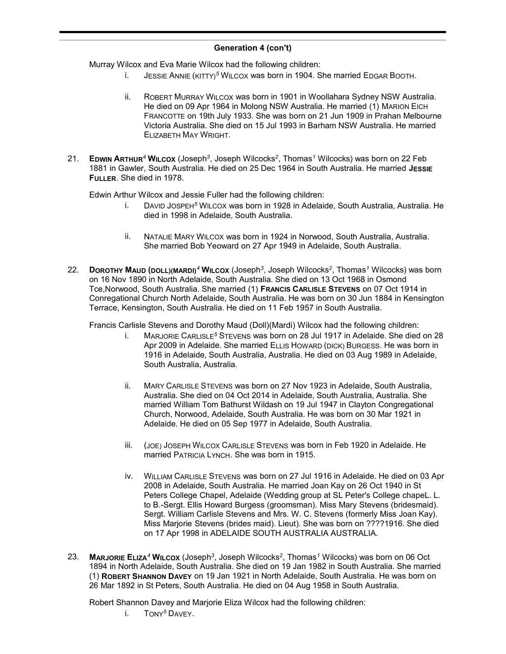Murray Wilcox and Eva Marie Wilcox had the following children:

- i. JESSIE ANNIE (KITTY)<sup>5</sup> WILCOX was born in 1904. She married EDGAR BOOTH.
- ii. ROBERT MURRAY WILCOX was born in 1901 in Woollahara Sydney NSW Australia. He died on 09 Apr 1964 in Molong NSW Australia. He married (1) MARION EICH FRANCOTTE on 19th July 1933. She was born on 21 Jun 1909 in Prahan Melbourne Victoria Australia. She died on 15 Jul 1993 in Barham NSW Australia. He married ELIZABETH MAY WRIGHT.
- 21. EDWIN ARTHUR<sup>4</sup> WILCOX (Joseph<sup>3</sup>, Joseph Wilcocks<sup>2</sup>, Thomas<sup>1</sup> Wilcocks) was born on 22 Feb 1881 in Gawler, South Australia. He died on 25 Dec 1964 in South Australia. He married JESSIE FULLER. She died in 1978.

Edwin Arthur Wilcox and Jessie Fuller had the following children:

- i. DAVID JOSPEH<sup>5</sup> WILCOX was born in 1928 in Adelaide, South Australia, Australia. He died in 1998 in Adelaide, South Australia.
- ii. NATALIE MARY WILCOX was born in 1924 in Norwood, South Australia, Australia. She married Bob Yeoward on 27 Apr 1949 in Adelaide, South Australia.
- 22. Dокотн $Y$  Маџр (ро $LI$ )(Макрі)<sup>4</sup> WiLcox (Joseph<sup>3</sup>, Joseph Wilcocks<sup>2</sup>, Thomas<sup>1</sup> Wilcocks) was born on 16 Nov 1890 in North Adelaide, South Australia. She died on 13 Oct 1968 in Osmond Tce,Norwood, South Australia. She married (1) FRANCIS CARLISLE STEVENS on 07 Oct 1914 in Conregational Church North Adelaide, South Australia. He was born on 30 Jun 1884 in Kensington Terrace, Kensington, South Australia. He died on 11 Feb 1957 in South Australia.

Francis Carlisle Stevens and Dorothy Maud (Doll)(Mardi) Wilcox had the following children:

- i. MARJORIE CARLISLE<sup>5</sup> STEVENS was born on 28 Jul 1917 in Adelaide. She died on 28 Apr 2009 in Adelaide. She married ELLIS HOWARD (DICK) BURGESS. He was born in 1916 in Adelaide, South Australia, Australia. He died on 03 Aug 1989 in Adelaide, South Australia, Australia.
- ii. MARY CARLISLE STEVENS was born on 27 Nov 1923 in Adelaide, South Australia, Australia. She died on 04 Oct 2014 in Adelaide, South Australia, Australia. She married William Tom Bathurst Wildash on 19 Jul 1947 in Clayton Congregational Church, Norwood, Adelaide, South Australia. He was born on 30 Mar 1921 in Adelaide. He died on 05 Sep 1977 in Adelaide, South Australia.
- iii. (JOE) JOSEPH WILCOX CARLISLE STEVENS was born in Feb 1920 in Adelaide. He married PATRICIA LYNCH. She was born in 1915.
- iv. WILLIAM CARLISLE STEVENS was born on 27 Jul 1916 in Adelaide. He died on 03 Apr 2008 in Adelaide, South Australia. He married Joan Kay on 26 Oct 1940 in St Peters College Chapel, Adelaide (Wedding group at SL Peter's College chapeL. L. to B.-Sergt. Ellis Howard Burgess (groomsman). Miss Mary Stevens (bridesmaid). Sergt. William Carlisle Stevens and Mrs. W. C. Stevens (formerly Miss Joan Kay). Miss Marjorie Stevens (brides maid). Lieut). She was born on ????1916. She died on 17 Apr 1998 in ADELAIDE SOUTH AUSTRALIA AUSTRALIA.
- 23. MarJorie ELiza<sup>4</sup> Wilcox (Joseph<sup>3</sup>, Joseph Wilcocks<sup>2</sup>, Thomas<sup>1</sup> Wilcocks) was born on 06 Oct 1894 in North Adelaide, South Australia. She died on 19 Jan 1982 in South Australia. She married (1) ROBERT SHANNON DAVEY on 19 Jan 1921 in North Adelaide, South Australia. He was born on 26 Mar 1892 in St Peters, South Australia. He died on 04 Aug 1958 in South Australia.

Robert Shannon Davey and Marjorie Eliza Wilcox had the following children:

i. TONY<sup>5</sup> DAVEY.